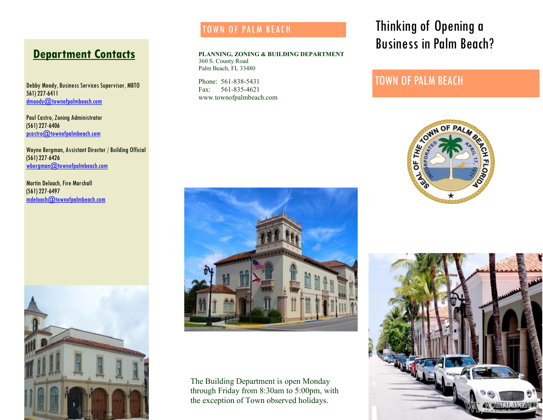# **Department Contacts**

Debby Moody, Business Services Supervisor, MBTO 561) 227-6411 dmoody@townofpalmbeach.com

Paul Castro, Zoning Administrator (561) 227-6406 pcastro@townofpalmbeach.com

Wayne Bergman, Assistant Director / Building Official (561) 227-6426 wbergman@townofpalmbeach.com

Martin Deloach, Fire Marshall (561) 227-6497  $mdeloach@town of palmbeach.com$ 



### TOWN OF PALM BEACH

**PLANNING, ZONING & BUILDING DEPARTMENT**  360 S. County Road Palm Beach, FL 33480

Phone: 561-838-5431 Fax: 561-835-4621 www.townofpalmbeach.com

# Thinking of Opening a Business in Palm Beach?

## TOWN OF PALM BEACH





The Building Department is open Monday through Friday from 8:30am to 5:00pm, with the exception of Town observed holidays.